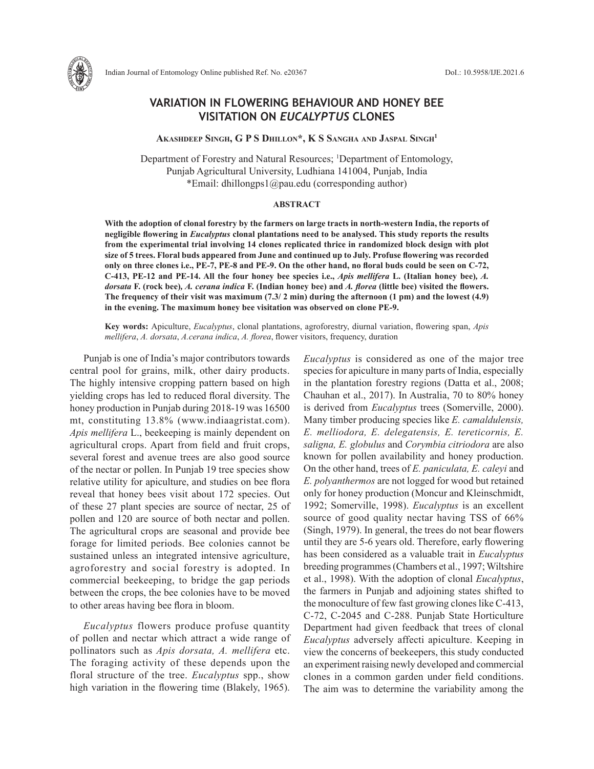

Indian Journal of Entomology Online published Ref. No. e20367 DoI.: 10.5958/IJE.2021.6

# **VARIATION IN FLOWERING BEHAVIOUR AND HONEY BEE VISITATION ON** *EUCALYPTUS* **CLONES**

**Akashdeep Singh, G P S Dhillon\*, K S Sangha and Jaspal Singh1**

Department of Forestry and Natural Resources; <sup>1</sup>Department of Entomology, Punjab Agricultural University, Ludhiana 141004, Punjab, India \*Email: dhillongps1@pau.edu (corresponding author)

## **ABSTRACT**

**With the adoption of clonal forestry by the farmers on large tracts in north-western India, the reports of negligible flowering in** *Eucalyptus* **clonal plantations need to be analysed. This study reports the results from the experimental trial involving 14 clones replicated thrice in randomized block design with plot size of 5 trees. Floral buds appeared from June and continued up to July. Profuse flowering was recorded only on three clones i.e., PE-7, PE-8 and PE-9. On the other hand, no floral buds could be seen on C-72, C-413, PE-12 and PE-14. All the four honey bee species i.e.,** *Apis mellifera* **L. (Italian honey bee)***, A. dorsata* **F. (rock bee)***, A. cerana indica* **F. (Indian honey bee) and** *A. florea* **(little bee) visited the flowers. The frequency of their visit was maximum (7.3/ 2 min) during the afternoon (1 pm) and the lowest (4.9) in the evening. The maximum honey bee visitation was observed on clone PE-9.**

**Key words:** Apiculture, *Eucalyptus*, clonal plantations, agroforestry, diurnal variation, flowering span, *Apis mellifera*, *A. dorsata*, *A.cerana indica*, *A. florea*, flower visitors, frequency, duration

Punjab is one of India's major contributors towards central pool for grains, milk, other dairy products. The highly intensive cropping pattern based on high yielding crops has led to reduced floral diversity. The honey production in Punjab during 2018-19 was 16500 mt, constituting 13.8% (www.indiaagristat.com). *Apis mellifera* L., beekeeping is mainly dependent on agricultural crops. Apart from field and fruit crops, several forest and avenue trees are also good source of the nectar or pollen. In Punjab 19 tree species show relative utility for apiculture, and studies on bee flora reveal that honey bees visit about 172 species. Out of these 27 plant species are source of nectar, 25 of pollen and 120 are source of both nectar and pollen. The agricultural crops are seasonal and provide bee forage for limited periods. Bee colonies cannot be sustained unless an integrated intensive agriculture, agroforestry and social forestry is adopted. In commercial beekeeping, to bridge the gap periods between the crops, the bee colonies have to be moved to other areas having bee flora in bloom.

*Eucalyptus* flowers produce profuse quantity of pollen and nectar which attract a wide range of pollinators such as *Apis dorsata, A. mellifera* etc. The foraging activity of these depends upon the floral structure of the tree. *Eucalyptus* spp., show high variation in the flowering time (Blakely, 1965). *Eucalyptus* is considered as one of the major tree species for apiculture in many parts of India, especially in the plantation forestry regions (Datta et al., 2008; Chauhan et al., 2017). In Australia, 70 to 80% honey is derived from *Eucalyptus* trees (Somerville, 2000). Many timber producing species like *E. camaldulensis, E. melliodora, E. delegatensis, E. tereticornis, E. saligna, E. globulus* and *Corymbia citriodora* are also known for pollen availability and honey production. On the other hand, trees of *E. paniculata, E. caleyi* and *E. polyanthermos* are not logged for wood but retained only for honey production (Moncur and Kleinschmidt, 1992; Somerville, 1998). *Eucalyptus* is an excellent source of good quality nectar having TSS of 66% (Singh, 1979). In general, the trees do not bear flowers until they are 5-6 years old. Therefore, early flowering has been considered as a valuable trait in *Eucalyptus* breeding programmes (Chambers et al., 1997; Wiltshire et al., 1998). With the adoption of clonal *Eucalyptus*, the farmers in Punjab and adjoining states shifted to the monoculture of few fast growing clones like C-413, C-72, C-2045 and C-288. Punjab State Horticulture Department had given feedback that trees of clonal *Eucalyptus* adversely affecti apiculture. Keeping in view the concerns of beekeepers, this study conducted an experiment raising newly developed and commercial clones in a common garden under field conditions. The aim was to determine the variability among the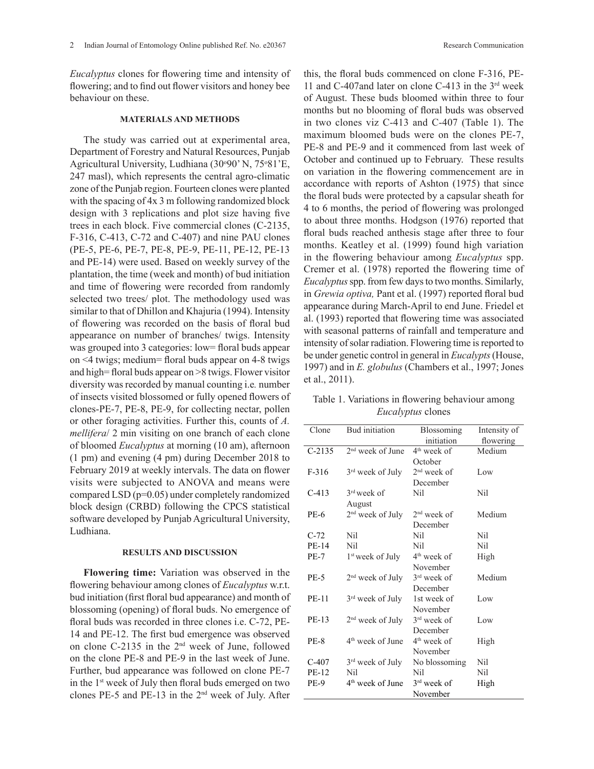*Eucalyptus* clones for flowering time and intensity of flowering; and to find out flower visitors and honey bee behaviour on these.

## **MATERIALS AND METHODS**

The study was carried out at experimental area, Department of Forestry and Natural Resources, Punjab Agricultural University, Ludhiana (30°90' N, 75°81'E, 247 masl), which represents the central agro-climatic zone of the Punjab region. Fourteen clones were planted with the spacing of 4x 3 m following randomized block design with 3 replications and plot size having five trees in each block. Five commercial clones (C-2135, F-316, C-413, C-72 and C-407) and nine PAU clones (PE-5, PE-6, PE-7, PE-8, PE-9, PE-11, PE-12, PE-13 and PE-14) were used. Based on weekly survey of the plantation, the time (week and month) of bud initiation and time of flowering were recorded from randomly selected two trees/ plot. The methodology used was similar to that of Dhillon and Khajuria (1994). Intensity of flowering was recorded on the basis of floral bud appearance on number of branches/ twigs. Intensity was grouped into 3 categories: low= floral buds appear on <4 twigs; medium= floral buds appear on 4-8 twigs and high= floral buds appear on >8 twigs. Flower visitor diversity was recorded by manual counting i.e*.* number of insects visited blossomed or fully opened flowers of clones-PE-7, PE-8, PE-9, for collecting nectar, pollen or other foraging activities. Further this, counts of *A. mellifera*/ 2 min visiting on one branch of each clone of bloomed *Eucalyptus* at morning (10 am), afternoon (1 pm) and evening (4 pm) during December 2018 to February 2019 at weekly intervals. The data on flower visits were subjected to ANOVA and means were compared LSD (p=0.05) under completely randomized block design (CRBD) following the CPCS statistical software developed by Punjab Agricultural University, Ludhiana.

#### **RESULTS AND DISCUSSION**

**Flowering time:** Variation was observed in the flowering behaviour among clones of *Eucalyptus* w.r.t. bud initiation (first floral bud appearance) and month of blossoming (opening) of floral buds. No emergence of floral buds was recorded in three clones i.e. C-72, PE-14 and PE-12. The first bud emergence was observed on clone C-2135 in the 2nd week of June, followed on the clone PE-8 and PE-9 in the last week of June. Further, bud appearance was followed on clone PE-7 in the 1st week of July then floral buds emerged on two clones PE-5 and PE-13 in the 2nd week of July. After

this, the floral buds commenced on clone F-316, PE-11 and C-407and later on clone C-413 in the 3rd week of August. These buds bloomed within three to four months but no blooming of floral buds was observed in two clones viz C-413 and C-407 (Table 1). The maximum bloomed buds were on the clones PE-7, PE-8 and PE-9 and it commenced from last week of October and continued up to February. These results on variation in the flowering commencement are in accordance with reports of Ashton (1975) that since the floral buds were protected by a capsular sheath for 4 to 6 months, the period of flowering was prolonged to about three months. Hodgson (1976) reported that floral buds reached anthesis stage after three to four months. Keatley et al. (1999) found high variation in the flowering behaviour among *Eucalyptus* spp. Cremer et al. (1978) reported the flowering time of *Eucalyptus* spp. from few days to two months. Similarly, in *Grewia optiva,* Pant et al. (1997) reported floral bud appearance during March-April to end June. Friedel et al. (1993) reported that flowering time was associated with seasonal patterns of rainfall and temperature and intensity of solar radiation. Flowering time is reported to be under genetic control in general in *Eucalypts* (House, 1997) and in *E. globulus* (Chambers et al., 1997; Jones et al., 2011).

Table 1. Variations in flowering behaviour among *Eucalyptus* clones

| Clone        | <b>Bud</b> initiation        | <b>Blossoming</b>       | Intensity of |
|--------------|------------------------------|-------------------------|--------------|
|              |                              | initiation              | flowering    |
| $C-2135$     | $2nd$ week of June           | 4 <sup>th</sup> week of | Medium       |
|              |                              | October                 |              |
| $F-316$      | 3 <sup>rd</sup> week of July | $2nd$ week of           | Low          |
|              |                              | December                |              |
| $C-413$      | $3rd$ week of                | Nil                     | Nil          |
|              | August                       |                         |              |
| <b>PE-6</b>  | 2 <sup>nd</sup> week of July | $2nd$ week of           | Medium       |
|              |                              | December                |              |
| $C-72$       | Nil                          | Nil                     | Nil          |
| PE-14        | Nil                          | Nil                     | Nil          |
| <b>PE-7</b>  | 1 <sup>st</sup> week of July | $4th$ week of           | High         |
|              |                              | November                |              |
| <b>PE-5</b>  | $2nd$ week of July           | $3rd$ week of           | Medium       |
|              |                              | December                |              |
| <b>PE-11</b> | $3rd$ week of July           | 1st week of             | Low          |
|              |                              | November                |              |
| PE-13        | 2 <sup>nd</sup> week of July | $3rd$ week of           | Low          |
|              |                              | December                |              |
| <b>PE-8</b>  | 4 <sup>th</sup> week of June | $4th$ week of           | High         |
|              |                              | November                |              |
| $C-407$      | $3rd$ week of July           | No blossoming           | Nil          |
| <b>PE-12</b> | Nil                          | Nil                     | Nil          |
| <b>PE-9</b>  | 4 <sup>th</sup> week of June | $3rd$ week of           | High         |
|              |                              | November                |              |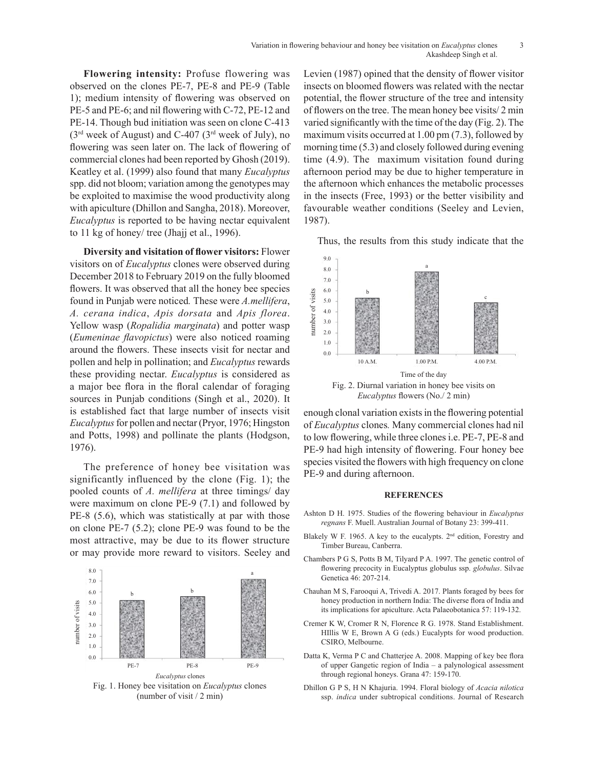Flowering intensity: Profuse flowering was Levien (198 observed on the clones  $PE-7$ ,  $PE-8$  and  $PE-9$  (Table insects on block 1); medium intensity of flowering was observed on potential, the flower  $PE_5$  and  $PE_6$ ; and pil flowering with  $C_5$  22.  $PE_5$  12 and potentials the track PE-5 and PE-6; and nil flowering with C-72, PE-12 and PE-5 and PE-0, and influencement with  $C^{-1/2}$ , PE-12 and Corrollection PE-14. Though bud initiation was seen on clone C-413 varied signific  $(3<sup>rd</sup>$  week of August) and C-407 ( $3<sup>rd</sup>$  week of July), no maximum visi flowering was seen later on. The lack of flowering of morning time ( commercial clones had been reported by Ghosh (2019). time  $(4.9)$ .<br>Kestley at al. (1999) also found that many Eugenhatics a of terms on  $\mathbb{R}^n$ Keatley et al. (1999) also found that many *Eucalyptus* spp. did not bloom; variation among the genotypes may the afternoot  $\beta$ be exploited to maximise the wood productivity along in the insects be exploited to maximise the wood productivity along with apiculture (Dhillon and Sangha, 2018). Moreover, *Eucalyptus* is reported to be having nectar equivalent to 11 kg of honey/ tree (Jhajj et al., 1996).

**Diversity and visitation of flower visitors:** Flower visitors on of *Eucalyptus* clones were observed during  $\begin{bmatrix} 9.0 \\ 8.0 \end{bmatrix}$  a December 2018 to February 2019 on the fully bloomed flowers. It was observed that all the honey bee species found in Punjab were noticed. These were *A.mellifera*, *A. cerana indica*, *Apis dorsata* and *Apis florea*. *A. cerana maica, Apis aorsata* and *Apis Jiorea.*<br>Yellow wasp (*Ropalidia marginata*) and potter wasp  $\frac{2}{5}$  $(Eumeninae\ flavorpictus)$  were also noticed roaming  $\frac{1}{20}$ around the flowers. These insects visit for nectar and  $\begin{bmatrix} 1.0 \\ 0.0 \end{bmatrix}$ pollen and help in pollination; and *Eucalyptus* rewards **PE-6 2016** 20 2nd week of  $\frac{10 \text{ A.M.}}{200 \text{ A.M.}}$ these providing nectar. *Eucalyptus* is considered as C-72 Nil Nil Nil a major bee flora in the floral calendar of foraging sources in Punjab conditions (Singh et al., 2020). It  $E_{ulcc}$ sources in Funjab conditions (single et al., 2020). It<br>is established fact that large number of insects visit enough clonal variation exists in the flowering potential *Eucalyptus* for pollen and nectar (Pryor, 1976; Hingston of *Eucalyptus* clones. Many contains of *Eucalyptus* for pollen and nectar (Pryor, 1976; Hingston of *Eucalyptus* clones. Many contains and the state of the state and Potts, 1998) and pollinate the plants (Hodgson, to low flowering, w 1976).

The preference of honey bee visitation was species visited the fl significantly influenced by the clone (Fig. 1); the  $PE-9$  and during pooled counts of *A. mellifera* at three timings/ day were maximum on clone PE-9  $(7.1)$  and followed by  $\sum_{n=1}^{\infty}$  9  $(5.6)$  and  $\sum_{n=1}^{\infty}$  1975 Studies PE-8 (5.6), which was statistically at par with those on clone PE-7 (5.2); clone PE-9 was found to be the most attractive, may be due to its flower structure or may provide more reward to visitors. Seeley and



Levien (1987) opined that the density of flower visitor insects on bloomed flowers was related with the nectar potential, the flower structure of the tree and intensity of flowers on the tree. The mean honey bee visits/ 2 min varied significantly with the time of the day (Fig. 2). The maximum visits occurred at 1.00 pm (7.3), followed by morning time (5.3) and closely followed during evening time (4.9). The maximum visitation found during afternoon period may be due to higher temperature in the afternoon which enhances the metabolic processes in the insects (Free, 1993) or the better visibility and favourable weather conditions (Seeley and Levien, 1987).

Thus, the results from this study indicate that the



1976). PE-9 had high intensity of flowering. Four honey bee enough clonal variation exists in the flowering potential of *Eucalyptus* clones*.* Many commercial clones had nil to low flowering, while three clones i.e. PE-7, PE-8 and species visited the flowers with high frequency on clone PE-9 and during afternoon.

#### **REFERENCES**

- Ashton D H. 1975. Studies of the flowering behaviour in *Eucalyptus regnans* F. Muell. Australian Journal of Botany 23: 399-411.
- Blakely W F. 1965. A key to the eucalypts.  $2<sup>nd</sup>$  edition, Forestry and Timber Bureau, Canberra.
- Chambers P G S, Potts B M, Tilyard P A. 1997. The genetic control of flowering precocity in Eucalyptus globulus ssp. *globulus*. Silvae Genetica 46: 207-214.
- Chauhan M S, Farooqui A, Trivedi A. 2017. Plants foraged by bees for honey production in northern India: The diverse flora of India and its implications for apiculture. Acta Palaeobotanica 57: 119-132.
- Cremer K W, Cromer R N, Florence R G. 1978. Stand Establishment. HIllis W E, Brown A G (eds.) Eucalypts for wood production. CSIRO, Melbourne.
- Datta K, Verma P C and Chatterjee A. 2008. Mapping of key bee flora of upper Gangetic region of India – a palynological assessment through regional honeys. Grana 47: 159-170.
- Dhillon G P S, H N Khajuria. 1994. Floral biology of *Acacia nilotica* ssp. *indica* under subtropical conditions. Journal of Research